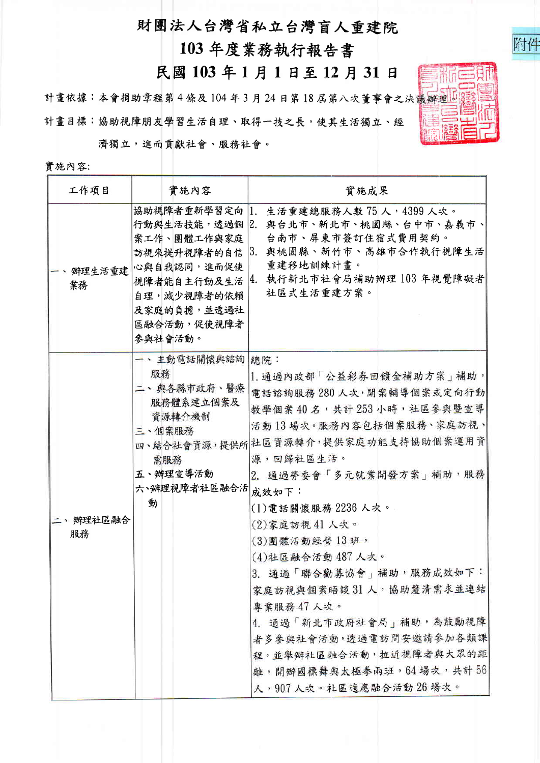## 財團法人台灣省私立台灣盲人重建院

## 103年度業務執行報告書

民國103年1月1日至12月31日

計畫依據︰本會捐助章程第4條及104年3月24日第18屆第八次董事會之決議辦理 計畫目標︰協助視障朋友學習生活自理、取得一技之長,使其生活獨立、經 濟獨立,進而貢獻社會、服務社會。



附件

實施內容:

| 工作項目           | 實施內容                                                                                                                                                            | 實施成果                                                                                                                                                                                                                                                                                                                                                                                                                                                                                        |
|----------------|-----------------------------------------------------------------------------------------------------------------------------------------------------------------|---------------------------------------------------------------------------------------------------------------------------------------------------------------------------------------------------------------------------------------------------------------------------------------------------------------------------------------------------------------------------------------------------------------------------------------------------------------------------------------------|
| 辦理生活重建<br>業務   | 協助視障者重新學習定向  1.<br>行動與生活技能,透過個  2.  <br>案工作、團體工作與家庭<br>訪視來提升視障者的自信 3.<br>心與自我認同,進而促使<br>視障者能自主行動及生活  4.<br>自理,減少視障者的依賴<br>及家庭的負擔,並透過社<br>區融合活動,促使視障者<br>參與社會活動。 | 生活重建總服務人數75人,4399人次。<br>與台北市、新北市、桃園縣、台中市、嘉義市、<br>台南市、屏東市簽訂住宿式費用契約。<br>與桃園縣、新竹市、高雄市合作執行視障生活<br>重建移地訓練計畫。<br>執行新北市社會局補助辦理103年視覺障礙者<br>社區式生活重建方案。                                                                                                                                                                                                                                                                                                                                              |
| 、 辦理社區融合<br>服務 | 一、主動電話關懷與諮詢 總院:<br>服務<br>二、與各縣市政府、醫療<br>服務體系建立個案及<br>資源轉介機制<br>三、個案服務<br>需服務<br>五、辦理宣導活動<br>六、辦理視障者社區融合活<br>動                                                   | 1. 通過內政部「公益彩券回饋金補助方案」補助,<br>電話諮詢服務 280 人次,開案輔導個案或定向行動<br>教學個案40名,共計253小時,社區參與暨宣導<br>活動13場次。服務內容包括個案服務、家庭訪視、<br>四、結合社會資源,提供所社區資源轉介,提供家庭功能支持協助個案運用資<br>源,回歸社區生活。<br>2. 通過勞委會「多元就業開發方案」補助,服務<br>成效如下:<br>$(1)$ 電話關懷服務 2236 人次。<br>(2)家庭訪視41人次。<br>(3)團體活動經營13班。<br>(4)社區融合活動 487 人次。<br>3. 通過「聯合勸募協會」補助,服務成效如下:<br>家庭訪視與個案晤談 31 人, 協助釐清需求並連結<br>專業服務 47 人次。<br>4. 通過「新北市政府社會局」補助,為鼓勵視障<br>者多參與社會活動,透過電訪問安邀請參加各類課<br>程,並舉辦社區融合活動,拉近視障者與大眾的距<br>離,開辦國標舞與太極拳兩班,64場次,共計56<br>人,907人次。社區適應融合活動26場次。 |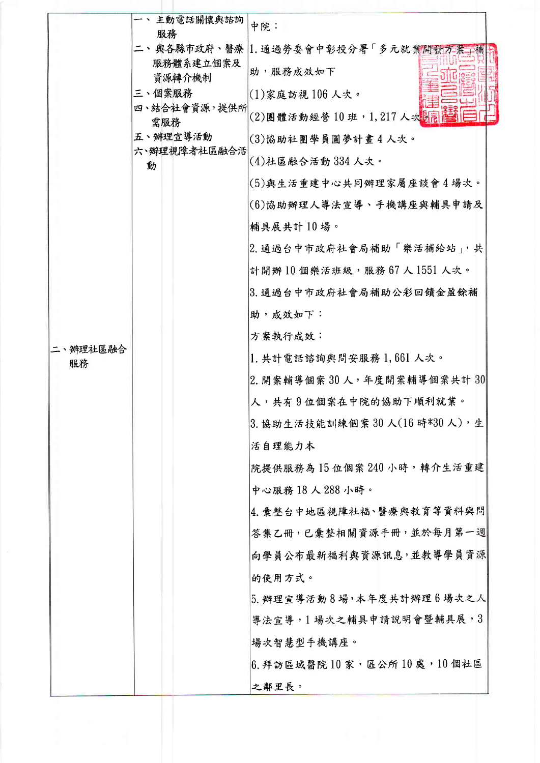|               | 一丶主動電話關懷與諮詢                                                                           | 中院:                               |
|---------------|---------------------------------------------------------------------------------------|-----------------------------------|
|               | 服務                                                                                    | 二、與各縣市政府、醫療 1. 通過勞委會中彰投分署「多元就業開發方 |
|               | 服務體系建立個案及<br>資源轉介機制<br>三、個案服務<br>四、結合社會資源,提供所<br>需服務<br>五、辦理宣導活動<br>六、辦理視障者社區融合活<br>動 | 助,服務成效如下                          |
|               |                                                                                       | (1)家庭訪視 106 人次。                   |
|               |                                                                                       | (2)團體活動經營10班,1,217人次              |
|               |                                                                                       | (3)協助社團學員圓夢計畫4人次。                 |
|               |                                                                                       | (4)社區融合活動334人次。                   |
|               |                                                                                       | (5)與生活重建中心共同辦理家屬座談會4場次。           |
|               |                                                                                       | (6)協助辦理人導法宣導、手機講座與輔具申請及           |
|               |                                                                                       | 輔具展共計10場。                         |
|               |                                                                                       | 2. 通過台中市政府社會局補助「樂活補給站」,共          |
|               |                                                                                       | 計開辦10個樂活班級,服務67人1551人次。           |
|               |                                                                                       | 3. 通過台中市政府社會局補助公彩回饋金盈餘補           |
|               |                                                                                       | 助, 成效如下:                          |
|               |                                                                                       | 方案執行成效:                           |
| ・辧理社區融合<br>服務 |                                                                                       | 1. 共計電話諮詢與問安服務1,661 人次。           |
|               |                                                                                       | 2. 開案輔導個案 30 人, 年度開案輔導個案共計 30     |
|               |                                                                                       | 人,共有9位個案在中院的協助下順利就業。              |
|               |                                                                                       | 3. 協助生活技能訓練個案 30 人(16 時*30 人),生   |
|               |                                                                                       | 活自理能力本                            |
|               |                                                                                       | 院提供服務為15位個案240小時,轉介生活重建           |
|               |                                                                                       | 中心服務18人288小時。                     |
|               |                                                                                       | 4. 彙整台中地區視障社福、醫療與教育等資料與問          |
|               |                                                                                       | 答集乙冊,已彙整相關資源手冊,並於每月第一週            |
|               |                                                                                       | 向學員公布最新福利與資源訊息,並教導學員資源            |
|               |                                                                                       | 的使用方式。                            |
|               |                                                                                       | 5. 辦理宣導活動8場,本年度共計辦理6場次之人          |
|               |                                                                                       | 導法宣導,1場次之輔具申請說明會暨輔具展,3            |
|               |                                                                                       | 場次智慧型手機講座。                        |
|               |                                                                                       | 6. 拜訪區域醫院 10 家, 區公所 10 處, 10 個社區  |
|               |                                                                                       | 之鄰里長。                             |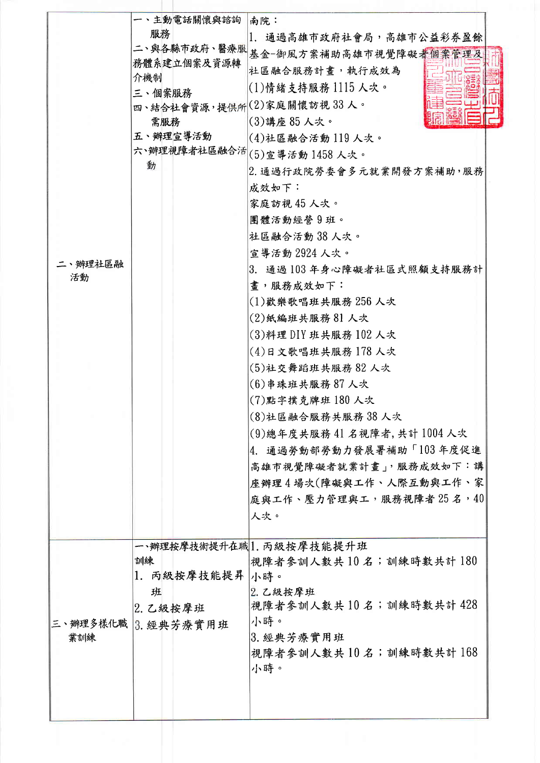|                  | 一、主動電話關懷與諮詢     | 南院:                                 |
|------------------|-----------------|-------------------------------------|
|                  | 服務              | 1. 通過高雄市政府社會局,高雄市公益彩券盈餘             |
|                  | 務體系建立個案及資源轉     | 二、與各縣市政府、醫療服 基金-御風方案補助高雄市視覺障礙者個案管理及 |
|                  | 介機制             | 社區融合服務計畫,執行成效為                      |
|                  | 三、個案服務          | (1)情緒支持服務 1115 人次。                  |
|                  |                 | 四、結合社會資源,提供所 (2)家庭關懷訪視 33人。         |
|                  | 需服務             | (3)講座 85 人次。                        |
|                  | 五、辦理宣導活動        | $(4)$ 社區融合活動 119 人次。                |
|                  | 動               | 六、辦理視障者社區融合活 $ (5)$ 宣導活動 1458 人次。   |
|                  |                 | 2. 通過行政院勞委會多元就業開發方案補助,服務            |
|                  |                 | 成效如下:                               |
|                  |                 | 家庭訪視45人次。                           |
|                  |                 | 團體活動經營9班。                           |
|                  |                 | 社區融合活動38人次。                         |
|                  |                 | 宣導活動 2924 人次。                       |
| 二、辦理社區融<br>活動    |                 | 3. 通過103年身心障礙者社區式照顧支持服務計            |
|                  |                 | 畫,服務成效如下:                           |
|                  |                 | (1)歡樂歌唱班共服務 256 人次                  |
|                  |                 | (2)紙編班共服務81人次                       |
|                  |                 | (3)料理 DIY 班共服務 102 人次               |
|                  |                 | $(4)$ 日文歌唱班共服務 178 人次               |
|                  |                 | (5)社交舞蹈班共服務 82 人次                   |
|                  |                 | (6)串珠班共服務 87 人次                     |
|                  |                 | (7)點字撲克牌班 180 人次                    |
|                  |                 | (8)社區融合服務共服務38人次                    |
|                  |                 | (9)總年度共服務41名視障者,共計1004人次            |
|                  |                 | 4. 通過勞動部勞動力發展署補助「103年度促進            |
|                  |                 | 高雄市視覺障礙者就業計畫」,服務成效如下:講              |
|                  |                 | 座辦理4場次(障礙與工作、人際互動與工作、家              |
|                  |                 | 庭與工作、壓力管理與工,服務視障者25名,40             |
|                  |                 | 人次。                                 |
|                  |                 |                                     |
|                  |                 | 一、辦理按摩技術提升在職 1. 丙級按摩技能提升班           |
|                  | 訓練              | 視障者參訓人數共10名;訓練時數共計180               |
|                  | 1. 丙級按摩技能提昇 小時。 |                                     |
| 三、辨理多樣化職.<br>業訓練 | 班               | 2. 乙級按摩班<br>視障者參訓人數共10名;訓練時數共計428   |
|                  | 2. 乙級按摩班        | 小時。                                 |
|                  | 3. 經典芳療實用班      | 3. 經典芳療實用班                          |
|                  |                 | 視障者參訓人數共10名;訓練時數共計168               |
|                  |                 | 小時。                                 |
|                  |                 |                                     |
|                  |                 |                                     |
|                  |                 |                                     |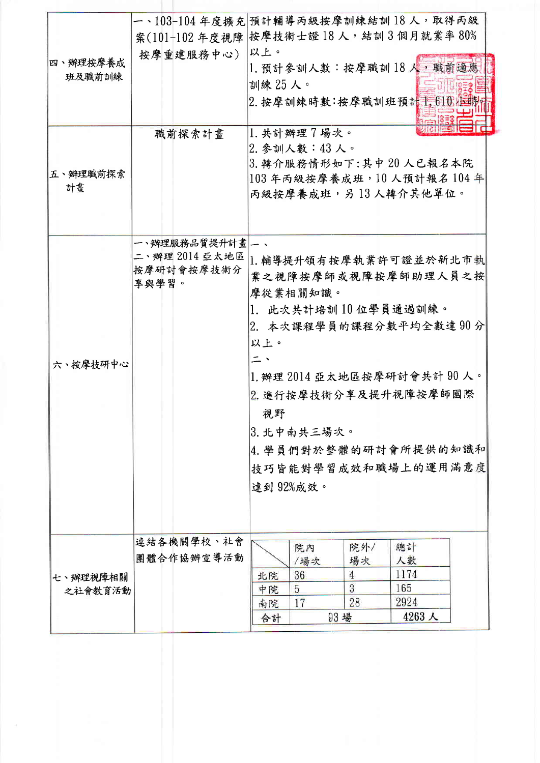|          |                            | 合計     |                | 93 場      | 4263人                                            |  |
|----------|----------------------------|--------|----------------|-----------|--------------------------------------------------|--|
|          |                            | 南院     | 17             | 28        | 2924                                             |  |
| 之社會教育活動  |                            | 中院     | 5              | 3         | 165                                              |  |
| 七、辦理視障相關 |                            | 北院     | /場次<br>36      | 4         | 1174                                             |  |
|          | 連結各機關學校、社會<br>團體合作協辦宣導活動   |        | 院内             | 院外/<br>場次 | 總計<br>人數                                         |  |
|          |                            |        |                |           |                                                  |  |
|          |                            |        |                |           |                                                  |  |
|          |                            |        | 達到 92%成效。      |           | 技巧皆能對學習成效和職場上的運用滿意度                              |  |
|          |                            |        |                |           | 4. 學員們對於整體的研討會所提供的知識和                            |  |
|          |                            |        | 3. 北中南共三場次。    |           |                                                  |  |
|          |                            | 視野     |                |           |                                                  |  |
|          |                            |        |                |           | 2. 進行按摩技術分享及提升視障按摩師國際                            |  |
|          |                            |        |                |           | 1. 辦理 2014 亞太地區按摩研討會共計 90 人。                     |  |
| 六、按摩技研中心 |                            | ニ、     |                |           |                                                  |  |
|          |                            | 以上。    |                |           |                                                  |  |
|          |                            |        |                |           | 1. 此次共計培訓10位學員通過訓練。<br>2. 本次課程學員的課程分數平均全數達90分    |  |
|          |                            |        | 摩從業相關知識。       |           |                                                  |  |
|          | 享與學習。                      |        |                |           | 業之視障按摩師或視障按摩師助理人員之按                              |  |
|          | 二、辦理2014亞太地區<br>按摩研討會按摩技術分 |        |                |           | 1. 輔導提升領有按摩執業許可證並於新北市執                           |  |
|          | 一、辦理服務品質提升計畫 __ 、          |        |                |           |                                                  |  |
|          |                            |        |                |           |                                                  |  |
|          |                            |        |                |           |                                                  |  |
| 計畫       |                            |        |                |           | 103年丙級按摩養成班,10人預計報名104年<br>丙級按摩養成班,另 13 人轉介其他單位。 |  |
| 五、辦理職前探索 |                            |        |                |           | 3. 轉介服務情形如下:其中 20 人已報名本院                         |  |
|          |                            |        | $2.$ 參訓人數:43人。 |           |                                                  |  |
|          | 職前探索計畫                     |        | 1. 共計辦理7場次。    |           |                                                  |  |
|          |                            |        |                |           |                                                  |  |
|          |                            | 訓練25人。 |                |           | 2. 按摩訓練時數:按摩職訓班預計,50000回制                        |  |
| 班及職前訓練   |                            |        |                |           | 1. 預計參訓人數:按摩職訓18人,職前適應                           |  |
| 四、辦理按摩養成 | 按摩重建服務中心)                  | 以上。    |                |           |                                                  |  |
|          | 案(101-102年度視障              |        |                |           | 按摩技術士證18人,結訓3個月就業率80%                            |  |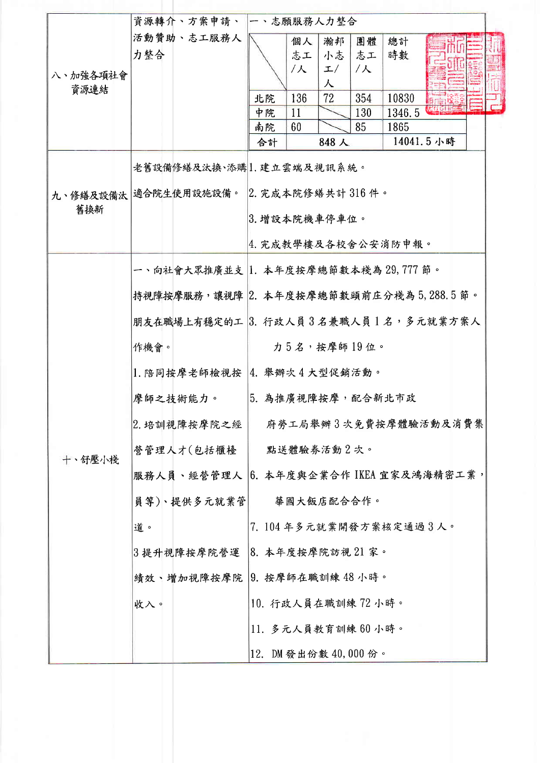|                  |                                          | 資源轉介、方案申請、  一、志願服務人力整合 |          |            |             |                        |                      |  |  |
|------------------|------------------------------------------|------------------------|----------|------------|-------------|------------------------|----------------------|--|--|
| 八、加強各項社會<br>資源連結 | 活動贊助、志工服務人<br>力整合                        |                        | 個人<br>志工 | 瀚邦         | 團體<br>小志 志工 | 總計<br>時數               |                      |  |  |
|                  |                                          |                        | /人       | エ/<br>人    | /人          |                        |                      |  |  |
|                  |                                          | 北院                     | 136      | 72         | 354<br>130  | 10830                  |                      |  |  |
|                  |                                          | 中院<br>南院               | 11<br>60 |            | 85          | 1346.5<br>1865         |                      |  |  |
|                  |                                          | 合計                     |          | 848人       |             |                        | 14041.5小時            |  |  |
|                  | 老舊設備修繕及汰換、添購1. 建立雲端及視訊系統。                |                        |          |            |             |                        |                      |  |  |
| 舊換新              | 九、修繕及設備汰 適合院生使用設施設備。 2. 完成本院修繕共計 316件。   |                        |          |            |             |                        |                      |  |  |
|                  |                                          | 3. 增設本院機車停車位。          |          |            |             |                        |                      |  |  |
|                  |                                          |                        |          |            |             | 4. 完成教學樓及各校舍公安消防申報。    |                      |  |  |
|                  | 一、向社會大眾推廣並支 1.本年度按摩總節數本棧為 29,777 節。      |                        |          |            |             |                        |                      |  |  |
|                  | 持視障按摩服務,讓視障 2. 本年度按摩總節數頭前庄分棧為 5,288.5 節。 |                        |          |            |             |                        |                      |  |  |
|                  | 朋友在職場上有穩定的工 3. 行政人員3名兼職人員1名,多元就業方案人      |                        |          |            |             |                        |                      |  |  |
|                  | 作機會。                                     |                        |          |            | 力5名,按摩師19位。 |                        |                      |  |  |
|                  | 1. 陪同按摩老師檢視按  4. 舉辦次4大型促銷活動。             |                        |          |            |             |                        |                      |  |  |
|                  | 摩師之技術能力。                                 | 5. 為推廣視障按摩,配合新北市政      |          |            |             |                        |                      |  |  |
|                  | 2. 培訓視障按摩院之經                             |                        |          |            |             |                        | 府勞工局舉辦3次免費按摩體驗活動及消費集 |  |  |
| 十、舒壓小棧           | 營管理人才(包括櫃檯                               |                        |          | 點送體驗券活動2次。 |             |                        |                      |  |  |
|                  | 服務人員、經營管理人  6. 本年度與企業合作 IKEA 宜家及鴻海精密工業,  |                        |          |            |             |                        |                      |  |  |
|                  | 員等)、提供多元就業管                              |                        |          | 華國大飯店配合合作。 |             |                        |                      |  |  |
|                  | 道。                                       |                        |          |            |             | 7. 104年多元就業開發方案核定通過3人。 |                      |  |  |
|                  | 3提升視障按摩院營運                               | 8.本年度按摩院訪視 21 家。       |          |            |             |                        |                      |  |  |
|                  | 績效、增加視障按摩院 9. 按摩師在職訓練48小時。               |                        |          |            |             |                        |                      |  |  |
|                  | 收入。                                      | 10. 行政人員在職訓練72小時。      |          |            |             |                        |                      |  |  |
|                  |                                          | 11. 多元人員教育訓練60小時。      |          |            |             |                        |                      |  |  |
|                  |                                          | 12. DM 發出份數 40,000 份。  |          |            |             |                        |                      |  |  |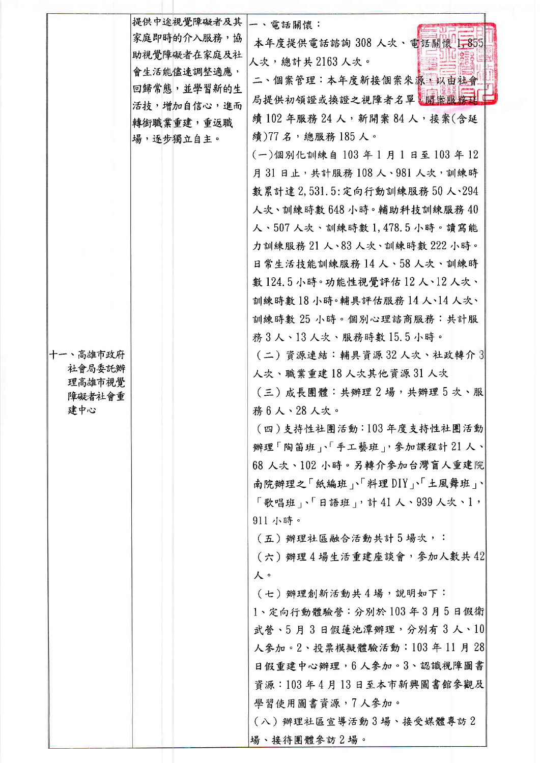|                  | 提供中途視覺障礙者及其 |                                |
|------------------|-------------|--------------------------------|
|                  | 家庭即時的介入服務,協 | 一、電話關懷:                        |
|                  | 助視覺障礙者在家庭及社 | 本年度提供電話諮詢 308 人次、電話關懷 1,85%    |
|                  | 會生活能儘速調整適應, | 人次,總計共2163人次。                  |
|                  | 回歸常態,並學習新的生 | 二、個案管理:本年度新接個案來源:以由社會          |
|                  | 活技,增加自信心,進而 | 局提供初領證或換證之視障者名單出開案服務延          |
|                  | 轉銜職業重建,重返職  | 續 102 年服務 24 人,新開案 84 人,接案(含延  |
|                  | 場,逐步獨立自主。   | 續)77 名,總服務 185 人。              |
|                  |             | (一)個別化訓練自103年1月1日至103年12       |
|                  |             | 月 31 日止,共計服務 108 人、981 人次, 訓練時 |
|                  |             | 數累計達 2,531.5:定向行動訓練服務 50 人~294 |
|                  |             | 人次、訓練時數 648 小時。輔助科技訓練服務 40     |
|                  |             | 人、507人次、訓練時數1,478.5小時。讀寫能      |
|                  |             | 力訓練服務 21 人、83 人次、訓練時數 222 小時。  |
|                  |             | 日常生活技能訓練服務14人、58人次、訓練時         |
|                  |             | 數 124.5 小時。功能性視覺評估 12 人、12 人次、 |
|                  |             | 訓練時數18小時。輔具評估服務14人、14人次、       |
|                  |             | 訓練時數 25 小時。個別心理諮商服務:共計服        |
|                  |             | 務 3 人、13 人次、服務時數 15.5 小時。      |
| 十一、高雄市政府         |             | (二)資源連結:輔具資源32人次、社政轉介3         |
| 社會局委託辦<br>理高雄市視覺 |             | 人次、職業重建18人次其他資源31人次            |
| 障礙者社會重           |             | ( 三 ) 成長團體:共辦理 2 場,共辦理 5 次、服   |
| 建中心              |             | 務6人、28人次。                      |
|                  |             | (四)支持性社團活動:103年度支持性社團活動        |
|                  |             | 辦理「陶笛班」、「手工藝班」,參加課程計21人、       |
|                  |             | 68 人次、102 小時。另轉介參加台灣盲人重建院      |
|                  |             | 南院辦理之「紙編班」、「料理DIY」、「土風舞班」      |
|                  |             | 「歌唱班」、「日語班」, 計41人、939人次、1,     |
|                  |             | 911 小時。                        |
|                  |             | (五) 辦理社區融合活動共計5場次,:            |
|                  |             | (六)辦理4場生活重建座談會,參加人數共42         |
|                  |             | 人。                             |
|                  |             | (七) 辦理創新活動共4場,說明如下:            |
|                  |             | 1、定向行動體驗營:分別於103年3月5日假衛        |
|                  |             | 武營、5月3日假蓮池潭辦理,分別有3人、10         |
|                  |             | 人参加。2、投票模擬體驗活動: 103年11月28      |
|                  |             | 日假重建中心辦理,6人參加。3、認識視障圖書         |
|                  |             | 資源:103年4月13日至本市新興圖書館參觀及        |
|                  |             | 學習使用圖書資源,7人參加。                 |
|                  |             | (八) 辦理社區宣導活動3場、接受媒體專訪2         |
|                  |             | 場、接待團體參訪2場。                    |